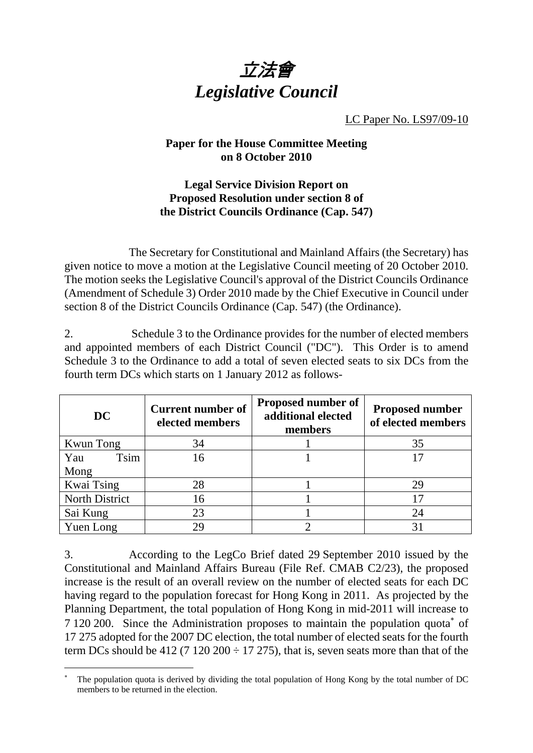

LC Paper No. LS97/09-10

## **Paper for the House Committee Meeting on 8 October 2010**

## **Legal Service Division Report on Proposed Resolution under section 8 of the District Councils Ordinance (Cap. 547)**

 The Secretary for Constitutional and Mainland Affairs (the Secretary) has given notice to move a motion at the Legislative Council meeting of 20 October 2010. The motion seeks the Legislative Council's approval of the District Councils Ordinance (Amendment of Schedule 3) Order 2010 made by the Chief Executive in Council under section 8 of the District Councils Ordinance (Cap. 547) (the Ordinance).

2. Schedule 3 to the Ordinance provides for the number of elected members and appointed members of each District Council ("DC"). This Order is to amend Schedule 3 to the Ordinance to add a total of seven elected seats to six DCs from the fourth term DCs which starts on 1 January 2012 as follows-

| DC                    | <b>Current number of</b><br>elected members | <b>Proposed number of</b><br>additional elected<br>members | <b>Proposed number</b><br>of elected members |
|-----------------------|---------------------------------------------|------------------------------------------------------------|----------------------------------------------|
| Kwun Tong             | 34                                          |                                                            | 35                                           |
| <b>Tsim</b><br>Yau    | 16                                          |                                                            |                                              |
| Mong                  |                                             |                                                            |                                              |
| <b>Kwai Tsing</b>     | 28                                          |                                                            | 29                                           |
| <b>North District</b> | 16                                          |                                                            |                                              |
| Sai Kung              | 23                                          |                                                            | 24                                           |
| Yuen Long             | 29                                          |                                                            |                                              |

3. According to the LegCo Brief dated 29 September 2010 issued by the Constitutional and Mainland Affairs Bureau (File Ref. CMAB C2/23), the proposed increase is the result of an overall review on the number of elected seats for each DC having regard to the population forecast for Hong Kong in 2011. As projected by the Planning Department, the total population of Hong Kong in mid-2011 will increase to 7 120 200. Since the Administration proposes to maintain the population quota<sup>\*</sup> of 17 275 adopted for the 2007 DC election, the total number of elected seats for the fourth term DCs should be 412 (7 120 200  $\div$  17 275), that is, seven seats more than that of the

-

<sup>×</sup>  The population quota is derived by dividing the total population of Hong Kong by the total number of DC members to be returned in the election.